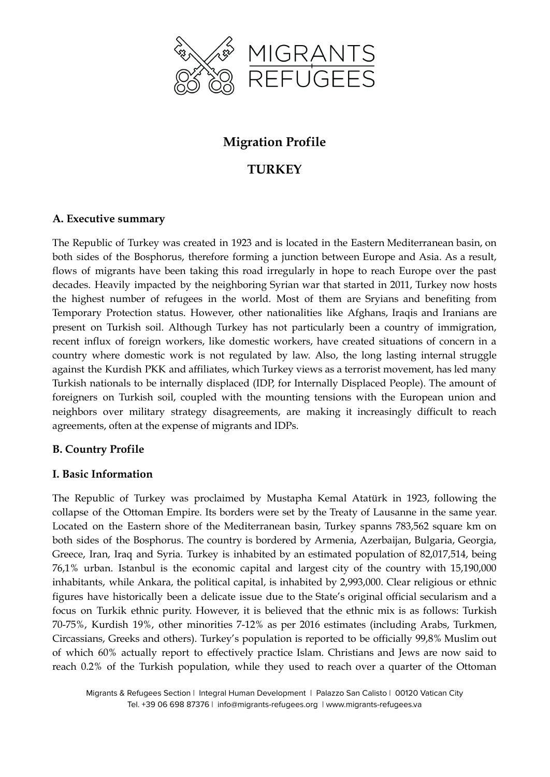

# **Migration Profile**

# **TURKEY**

## **A. Executive summary**

The Republic of Turkey was created in 1923 and is located in the Eastern Mediterranean basin, on both sides of the Bosphorus, therefore forming a junction between Europe and Asia. As a result, flows of migrants have been taking this road irregularly in hope to reach Europe over the past decades. Heavily impacted by the neighboring Syrian war that started in 2011, Turkey now hosts the highest number of refugees in the world. Most of them are Sryians and benefiting from Temporary Protection status. However, other nationalities like Afghans, Iraqis and Iranians are present on Turkish soil. Although Turkey has not particularly been a country of immigration, recent influx of foreign workers, like domestic workers, have created situations of concern in a country where domestic work is not regulated by law. Also, the long lasting internal struggle against the Kurdish PKK and affiliates, which Turkey views as a terrorist movement, has led many Turkish nationals to be internally displaced (IDP, for Internally Displaced People). The amount of foreigners on Turkish soil, coupled with the mounting tensions with the European union and neighbors over military strategy disagreements, are making it increasingly difficult to reach agreements, often at the expense of migrants and IDPs.

# **B. Country Profile**

### **I. Basic Information**

The Republic of Turkey was proclaimed by Mustapha Kemal Atatürk in 1923, following the collapse of the Ottoman Empire. Its borders were set by the Treaty of Lausanne in the same year. Located on the Eastern shore of the Mediterranean basin, Turkey spanns 783,562 square km on both sides of the Bosphorus. The country is bordered by Armenia, Azerbaijan, Bulgaria, Georgia, Greece, Iran, Iraq and Syria. Turkey is inhabited by an estimated population of 82,017,514, being 76,1% urban. Istanbul is the economic capital and largest city of the country with 15,190,000 inhabitants, while Ankara, the political capital, is inhabited by 2,993,000. Clear religious or ethnic figures have historically been a delicate issue due to the State's original official secularism and a focus on Turkik ethnic purity. However, it is believed that the ethnic mix is as follows: Turkish 70-75%, Kurdish 19%, other minorities 7-12% as per 2016 estimates (including Arabs, Turkmen, Circassians, Greeks and others). Turkey's population is reported to be officially 99,8% Muslim out of which 60% actually report to effectively practice Islam. Christians and Jews are now said to reach 0.2% of the Turkish population, while they used to reach over a quarter of the Ottoman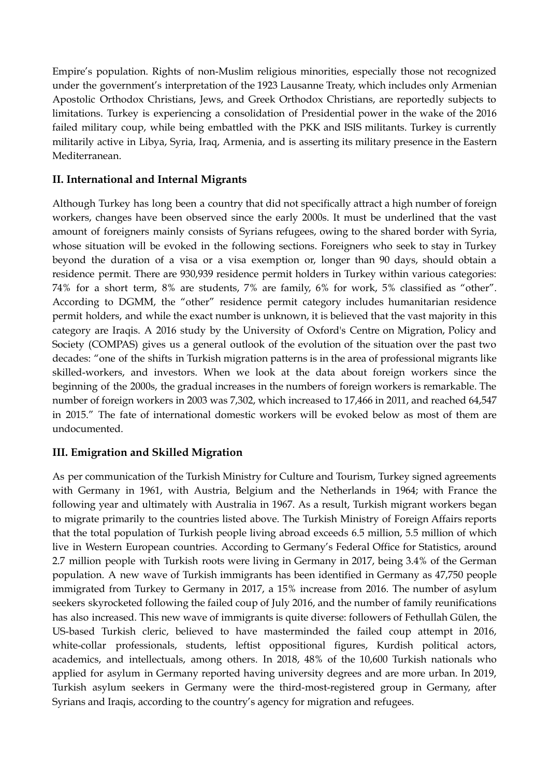Empire's population. Rights of non-Muslim religious minorities, especially those not recognized under the government's interpretation of the 1923 Lausanne Treaty, which includes only Armenian Apostolic Orthodox Christians, Jews, and Greek Orthodox Christians, are reportedly subjects to limitations. Turkey is experiencing a consolidation of Presidential power in the wake of the 2016 failed military coup, while being embattled with the PKK and ISIS militants. Turkey is currently militarily active in Libya, Syria, Iraq, Armenia, and is asserting its military presence in the Eastern Mediterranean.

## **II. International and Internal Migrants**

Although Turkey has long been a country that did not specifically attract a high number of foreign workers, changes have been observed since the early 2000s. It must be underlined that the vast amount of foreigners mainly consists of Syrians refugees, owing to the shared border with Syria, whose situation will be evoked in the following sections. Foreigners who seek to stay in Turkey beyond the duration of a visa or a visa exemption or, longer than 90 days, should obtain a residence permit. There are 930,939 residence permit holders in Turkey within various categories: 74% for a short term, 8% are students, 7% are family, 6% for work, 5% classified as "other". According to DGMM, the "other" residence permit category includes humanitarian residence permit holders, and while the exact number is unknown, it is believed that the vast majority in this category are Iraqis. A 2016 study by the University of Oxford's Centre on Migration, Policy and Society (COMPAS) gives us a general outlook of the evolution of the situation over the past two decades: "one of the shifts in Turkish migration patterns is in the area of professional migrants like skilled-workers, and investors. When we look at the data about foreign workers since the beginning of the 2000s, the gradual increases in the numbers of foreign workers is remarkable. The number of foreign workers in 2003 was 7,302, which increased to 17,466 in 2011, and reached 64,547 in 2015." The fate of international domestic workers will be evoked below as most of them are undocumented.

# **III. Emigration and Skilled Migration**

As per communication of the Turkish Ministry for Culture and Tourism, Turkey signed agreements with Germany in 1961, with Austria, Belgium and the Netherlands in 1964; with France the following year and ultimately with Australia in 1967. As a result, Turkish migrant workers began to migrate primarily to the countries listed above. The Turkish Ministry of Foreign Affairs reports that the total population of Turkish people living abroad exceeds 6.5 million, 5.5 million of which live in Western European countries. According to Germany's Federal Office for Statistics, [around](https://www.dw.com/en/german-population-with-immigrant-background-reaches-new-peak-in-2017/a-44906046) 2.7 million people with Turkish roots were living in [Germany](https://www.dw.com/en/german-population-with-immigrant-background-reaches-new-peak-in-2017/a-44906046) in 2017, being 3.4% of the German population. A new wave of Turkish immigrants has been identified in Germany as 47,750 people immigrated from Turkey to Germany in 2017, a 15% increase from 2016. The number of asylum seekers skyrocketed following the failed coup of July 2016, and the number of family reunifications has also increased. This new wave of immigrants is quite diverse: followers of Fethullah Gülen, the US-based Turkish cleric, believed to have masterminded the failed coup attempt in 2016, white-collar professionals, students, leftist oppositional figures, Kurdish political actors, academics, and intellectuals, among others. In 2018, 48% of the 10,600 Turkish nationals who applied for asylum in Germany reported having [university](https://www.welt.de/politik/deutschland/article188371987/Interne-BAMF-Analyse-Asylbewerber-aus-der-Tuerkei-qualifizierter-als-Durchschnitt.html) degrees and are more urban. In 2019, Turkish asylum seekers in Germany were the third-most-registered group in Germany, after Syrians and Iraqis, according to the country's agency for migration and refugees.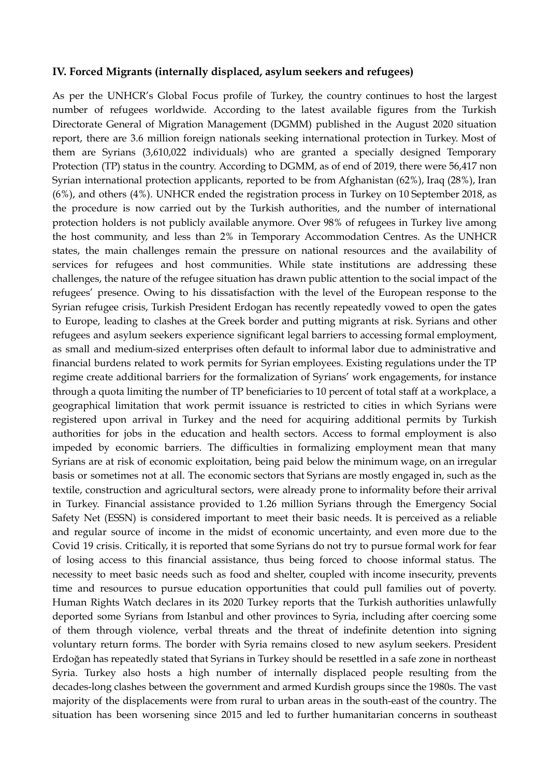#### **IV. Forced Migrants (internally displaced, asylum seekers and refugees)**

As per the UNHCR's Global Focus profile of Turkey, the country continues to host the largest number of refugees worldwide. According to the latest available figures from the Turkish Directorate General of Migration Management (DGMM) published in the August 2020 situation report, there are 3.6 million foreign nationals seeking international protection in Turkey. Most of them are Syrians (3,610,022 individuals) who are granted a specially designed Temporary Protection (TP) status in the country. According to DGMM, as of end of 2019, there were 56,417 non Syrian international protection applicants, reported to be from Afghanistan (62%), Iraq (28%), Iran (6%), and others (4%). UNHCR ended the registration process in Turkey on 10 September 2018, as the procedure is now carried out by the Turkish authorities, and the number of international protection holders is not publicly available anymore. Over 98% of refugees in Turkey live among the host community, and less than 2% in Temporary Accommodation Centres. As the UNHCR states, the main challenges remain the pressure on national resources and the availability of services for refugees and host communities. While state institutions are addressing these challenges, the nature of the refugee situation has drawn public attention to the social impact of the refugees' presence. Owing to his dissatisfaction with the level of the European response to the Syrian refugee crisis, Turkish President Erdogan has recently repeatedly vowed to open the gates to Europe, leading to clashes at the Greek border and putting migrants at risk. Syrians and other refugees and asylum seekers experience significant legal barriers to accessing formal employment, as small and medium-sized enterprises often default to informal labor due to administrative and financial burdens related to work permits for Syrian employees. Existing regulations under the TP regime create additional barriers for the formalization of Syrians' work engagements, for instance through a quota limiting the number of TP beneficiaries to 10 percent of total staff at a workplace, a geographical limitation that work permit issuance is restricted to cities in which Syrians were registered upon arrival in Turkey and the need for acquiring additional permits by Turkish authorities for jobs in the education and health sectors. Access to formal employment is also impeded by economic barriers. The difficulties in formalizing employment mean that many Syrians are at risk of economic exploitation, being paid below the minimum wage, on an irregular basis or sometimes not at all. The economic sectors that Syrians are mostly engaged in, such as the textile, construction and agricultural sectors, were already prone to informality before their arrival in Turkey. Financial assistance provided to 1.26 million Syrians through the Emergency Social Safety Net (ESSN) is considered important to meet their basic needs. It is perceived as a reliable and regular source of income in the midst of economic uncertainty, and even more due to the Covid 19 crisis. Critically, it is reported that some Syrians do not try to pursue formal work for fear of losing access to this financial assistance, thus being forced to choose informal status. The necessity to meet basic needs such as food and shelter, coupled with income insecurity, prevents time and resources to pursue education opportunities that could pull families out of poverty. Human Rights Watch declares in its 2020 Turkey reports that the Turkish authorities unlawfully deported some Syrians from Istanbul and other provinces to Syria, including after coercing some of them through violence, verbal threats and the threat of indefinite detention into signing voluntary return forms. The border with Syria remains closed to new asylum seekers. President Erdoğan has repeatedly stated that Syrians in Turkey should be resettled in a safe zone in northeast Syria. Turkey also hosts a high number of internally displaced people resulting from the decades-long clashes between the government and armed Kurdish groups since the 1980s. The vast majority of the displacements were from rural to urban areas in the south-east of the country. The situation has been worsening since 2015 and led to further humanitarian concerns in southeast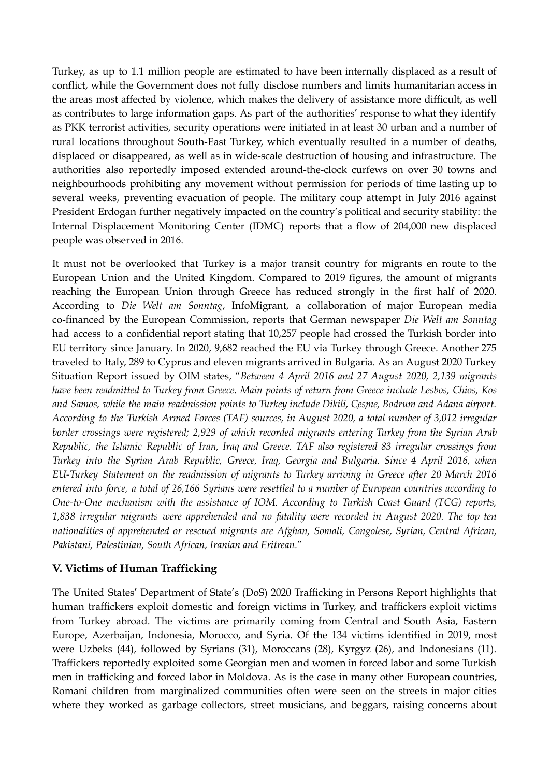Turkey, as up to 1.1 million people are estimated to have been internally displaced as a result of conflict, while the Government does not fully disclose numbers and limits humanitarian access in the areas most affected by violence, which makes the delivery of assistance more difficult, as well as contributes to large information gaps. As part of the authorities' response to what they identify as PKK terrorist activities, security operations were initiated in at least 30 urban and a number of rural locations throughout South-East Turkey, which eventually resulted in a number of deaths, displaced or disappeared, as well as in wide-scale destruction of housing and infrastructure. The authorities also reportedly imposed extended around-the-clock curfews on over 30 towns and neighbourhoods prohibiting any movement without permission for periods of time lasting up to several weeks, preventing evacuation of people. The military coup attempt in July 2016 against President Erdogan further negatively impacted on the country's political and security stability: the Internal Displacement Monitoring Center (IDMC) reports that a flow of 204,000 new displaced people was observed in 2016.

It must not be overlooked that Turkey is a major transit country for migrants en route to the European Union and the United Kingdom. Compared to 2019 figures, the amount of migrants reaching the European Union through Greece has reduced strongly in the first half of 2020. According to *Die Welt am Sonntag*, InfoMigrant, a collaboration of major European media co-financed by the European Commission, reports that German newspaper *Die Welt am Sonntag* had access to a confidential report stating that 10,257 people had crossed the Turkish border into EU territory since January. In 2020, 9,682 reached the EU via Turkey through Greece. Another 275 traveled to Italy, 289 to Cyprus and eleven migrants arrived in Bulgaria. As an August 2020 Turkey Situation Report issued by OIM states, "*Between 4 April 2016 and 27 August 2020, 2,139 migrants have been readmitted to Turkey from Greece. Main points of return from Greece include Lesbos, Chios, Kos* and Samos, while the main readmission points to Turkey include Dikili, Cesme, Bodrum and Adana airport. *According to the Turkish Armed Forces (TAF) sources, in August 2020, a total number of 3,012 irregular border crossings were registered; 2,929 of which recorded migrants entering Turkey from the Syrian Arab Republic, the Islamic Republic of Iran, Iraq and Greece. TAF also registered 83 irregular crossings from Turkey into the Syrian Arab Republic, Greece, Iraq, Georgia and Bulgaria. Since 4 April 2016, when EU-Turkey Statement on the readmission of migrants to Turkey arriving in Greece after 20 March 2016* entered into force, a total of 26,166 Syrians were resettled to a number of European countries according to *One-to-One mechanism with the assistance of IOM. According to Turkish Coast Guard (TCG) reports, 1,838 irregular migrants were apprehended and no fatality were recorded in August 2020. The top ten nationalities of apprehended or rescued migrants are Afghan, Somali, Congolese, Syrian, Central African, Pakistani, Palestinian, South African, Iranian and Eritrean.*"

# **V. Victims of Human Trafficking**

The United States' Department of State's (DoS) 2020 Trafficking in Persons Report highlights that human traffickers exploit domestic and foreign victims in Turkey, and traffickers exploit victims from Turkey abroad. The victims are primarily coming from Central and South Asia, Eastern Europe, Azerbaijan, Indonesia, Morocco, and Syria. Of the 134 victims identified in 2019, most were Uzbeks (44), followed by Syrians (31), Moroccans (28), Kyrgyz (26), and Indonesians (11). Traffickers reportedly exploited some Georgian men and women in forced labor and some Turkish men in trafficking and forced labor in Moldova. As is the case in many other European countries, Romani children from marginalized communities often were seen on the streets in major cities where they worked as garbage collectors, street musicians, and beggars, raising concerns about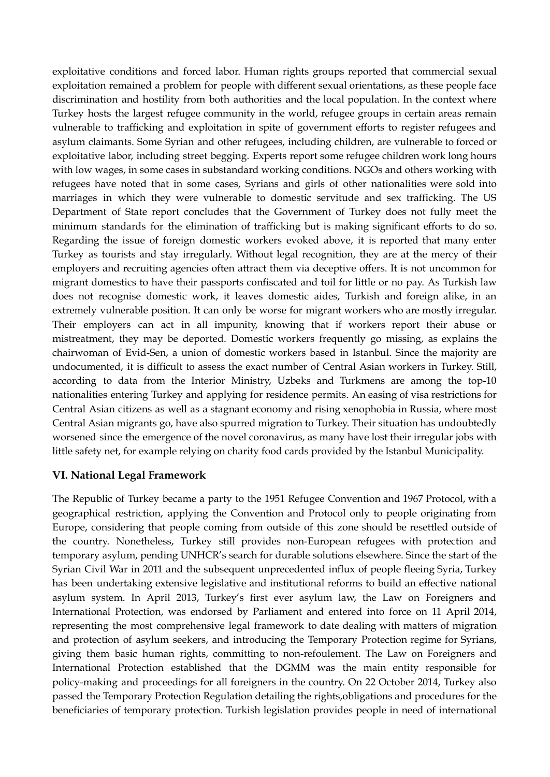exploitative conditions and forced labor. Human rights groups reported that commercial sexual exploitation remained a problem for people with different sexual orientations, as these people face discrimination and hostility from both authorities and the local population. In the context where Turkey hosts the largest refugee community in the world, refugee groups in certain areas remain vulnerable to trafficking and exploitation in spite of government efforts to register refugees and asylum claimants. Some Syrian and other refugees, including children, are vulnerable to forced or exploitative labor, including street begging. Experts report some refugee children work long hours with low wages, in some cases in substandard working conditions. NGOs and others working with refugees have noted that in some cases, Syrians and girls of other nationalities were sold into marriages in which they were vulnerable to domestic servitude and sex trafficking. The US Department of State report concludes that the Government of Turkey does not fully meet the minimum standards for the elimination of trafficking but is making significant efforts to do so. Regarding the issue of foreign domestic workers evoked above, it is reported that many enter Turkey as tourists and stay irregularly. Without legal recognition, they are at the mercy of their employers and recruiting agencies often attract them via deceptive offers. It is not uncommon for migrant domestics to have their passports confiscated and toil for little or no pay. As Turkish law does not recognise domestic work, it leaves domestic aides, Turkish and foreign alike, in an extremely vulnerable position. It can only be worse for migrant workers who are mostly irregular. Their employers can act in all impunity, knowing that if workers report their abuse or mistreatment, they may be deported. Domestic workers frequently go missing, as explains the chairwoman of Evid-Sen, a union of domestic workers based in Istanbul. Since the majority are undocumented, it is difficult to assess the exact number of Central Asian workers in Turkey. Still, according to data from the Interior Ministry, Uzbeks and Turkmens are among the top-10 nationalities entering Turkey and applying for residence permits. An easing of visa restrictions for Central Asian citizens as well as a stagnant economy and rising xenophobia in Russia, where most Central Asian migrants go, have also spurred migration to Turkey. Their situation has undoubtedly worsened since the emergence of the novel coronavirus, as many have lost their irregular jobs with little safety net, for example relying on charity food cards provided by the Istanbul Municipality.

### **VI. National Legal Framework**

The Republic of Turkey became a party to the 1951 Refugee Convention and 1967 Protocol, with a geographical restriction, applying the Convention and Protocol only to people originating from Europe, considering that people coming from outside of this zone should be resettled outside of the country. Nonetheless, Turkey still provides non-European refugees with protection and temporary asylum, pending UNHCR's search for durable solutions elsewhere. Since the start of the Syrian Civil War in 2011 and the subsequent unprecedented influx of people fleeing Syria, Turkey has been undertaking extensive legislative and institutional reforms to build an effective national asylum system. In April 2013, Turkey's first ever asylum law, the Law on Foreigners and International Protection, was endorsed by Parliament and entered into force on 11 April 2014, representing the most comprehensive legal framework to date dealing with matters of migration and protection of asylum seekers, and introducing the Temporary Protection regime for Syrians, giving them basic human rights, committing to non-refoulement. The Law on Foreigners and International Protection established that the DGMM was the main entity responsible for policy-making and proceedings for all foreigners in the country. On 22 October 2014, Turkey also passed the Temporary Protection Regulation detailing the rights,obligations and procedures for the beneficiaries of temporary protection. Turkish legislation provides people in need of international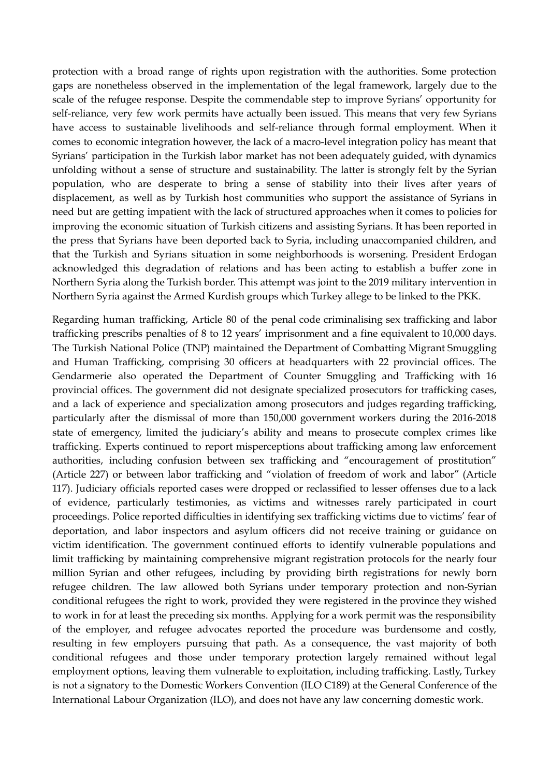protection with a broad range of rights upon registration with the authorities. Some protection gaps are nonetheless observed in the implementation of the legal framework, largely due to the scale of the refugee response. Despite the commendable step to improve Syrians' opportunity for self-reliance, very few work permits have actually been issued. This means that very few Syrians have access to sustainable livelihoods and self-reliance through formal employment. When it comes to economic integration however, the lack of a macro-level integration policy has meant that Syrians' participation in the Turkish labor market has not been adequately guided, with dynamics unfolding without a sense of structure and sustainability. The latter is strongly felt by the Syrian population, who are desperate to bring a sense of stability into their lives after years of displacement, as well as by Turkish host communities who support the assistance of Syrians in need but are getting impatient with the lack of structured approaches when it comes to policies for improving the economic situation of Turkish citizens and assisting Syrians. It has been reported in the press that Syrians have been deported back to Syria, including unaccompanied children, and that the Turkish and Syrians situation in some neighborhoods is worsening. President Erdogan acknowledged this degradation of relations and has been acting to establish a buffer zone in Northern Syria along the Turkish border. This attempt was joint to the 2019 military intervention in Northern Syria against the Armed Kurdish groups which Turkey allege to be linked to the PKK.

Regarding human trafficking, Article 80 of the penal code criminalising sex trafficking and labor trafficking prescribs penalties of 8 to 12 years' imprisonment and a fine equivalent to 10,000 days. The Turkish National Police (TNP) maintained the Department of Combatting Migrant Smuggling and Human Trafficking, comprising 30 officers at headquarters with 22 provincial offices. The Gendarmerie also operated the Department of Counter Smuggling and Trafficking with 16 provincial offices. The government did not designate specialized prosecutors for trafficking cases, and a lack of experience and specialization among prosecutors and judges regarding trafficking, particularly after the dismissal of more than 150,000 government workers during the 2016-2018 state of emergency, limited the judiciary's ability and means to prosecute complex crimes like trafficking. Experts continued to report misperceptions about trafficking among law enforcement authorities, including confusion between sex trafficking and "encouragement of prostitution" (Article 227) or between labor trafficking and "violation of freedom of work and labor" (Article 117). Judiciary officials reported cases were dropped or reclassified to lesser offenses due to a lack of evidence, particularly testimonies, as victims and witnesses rarely participated in court proceedings. Police reported difficulties in identifying sex trafficking victims due to victims' fear of deportation, and labor inspectors and asylum officers did not receive training or guidance on victim identification. The government continued efforts to identify vulnerable populations and limit trafficking by maintaining comprehensive migrant registration protocols for the nearly four million Syrian and other refugees, including by providing birth registrations for newly born refugee children. The law allowed both Syrians under temporary protection and non-Syrian conditional refugees the right to work, provided they were registered in the province they wished to work in for at least the preceding six months. Applying for a work permit was the responsibility of the employer, and refugee advocates reported the procedure was burdensome and costly, resulting in few employers pursuing that path. As a consequence, the vast majority of both conditional refugees and those under temporary protection largely remained without legal employment options, leaving them vulnerable to exploitation, including trafficking. Lastly, Turkey is not a signatory to the Domestic Workers Convention (ILO C189) at the General Conference of the International Labour Organization (ILO), and does not have any law concerning domestic work.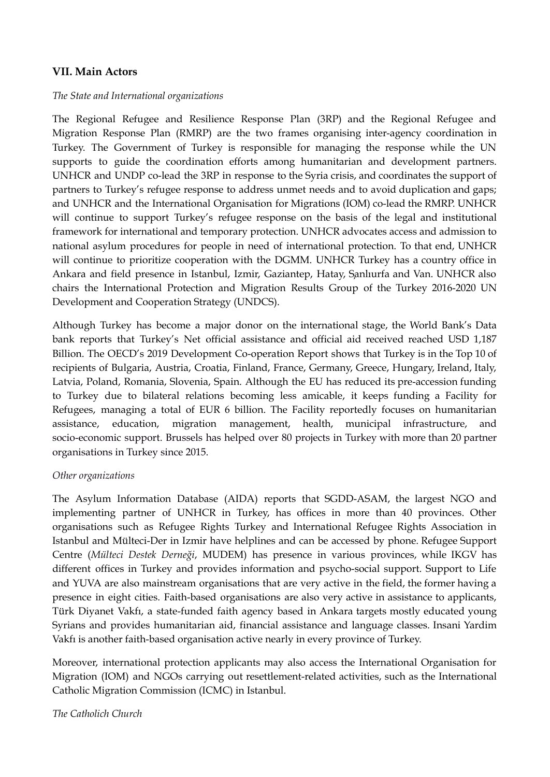### **VII. Main Actors**

#### *The State and International organizations*

The Regional Refugee and Resilience Response Plan (3RP) and the Regional Refugee and Migration Response Plan (RMRP) are the two frames organising inter-agency coordination in Turkey. The Government of Turkey is responsible for managing the response while the UN supports to guide the coordination efforts among humanitarian and development partners. UNHCR and UNDP co-lead the 3RP in response to the Syria crisis, and coordinates the support of partners to Turkey's refugee response to address unmet needs and to avoid duplication and gaps; and UNHCR and the International Organisation for Migrations (IOM) co-lead the RMRP. UNHCR will continue to support Turkey's refugee response on the basis of the legal and institutional framework for international and temporary protection. UNHCR advocates access and admission to national asylum procedures for people in need of international protection. To that end, UNHCR will continue to prioritize cooperation with the DGMM. UNHCR Turkey has a country office in Ankara and field presence in Istanbul, Izmir, Gaziantep, Hatay, Sanlıurfa and Van. UNHCR also chairs the International Protection and Migration Results Group of the Turkey 2016-2020 UN Development and Cooperation Strategy (UNDCS).

Although Turkey has become a major donor on the international stage, the World Bank's Data bank reports that Turkey's Net official assistance and official aid received reached USD 1,187 Billion. The OECD's 2019 Development Co-operation Report shows that Turkey is in the Top 10 of recipients of Bulgaria, Austria, Croatia, Finland, France, Germany, Greece, Hungary, Ireland, Italy, Latvia, Poland, Romania, Slovenia, Spain. Although the EU has reduced its pre-accession funding to Turkey due to bilateral relations becoming less amicable, it keeps funding a Facility for Refugees, managing a total of EUR 6 billion. The Facility reportedly focuses on humanitarian assistance, education, migration management, health, municipal infrastructure, socio-economic support. Brussels has helped over 80 projects in Turkey with more than 20 partner organisations in Turkey since 2015.

#### *Other organizations*

The Asylum Information Database (AIDA) reports that SGDD-ASAM, the largest NGO and implementing partner of UNHCR in Turkey, has offices in more than 40 provinces. Other organisations such as [Refugee](http://mhd.org.tr/english_home.html) Rights Turkey and [International](https://www.umhd.org.tr/home/) Refugee Rights Association in Istanbul and [Mülteci-Der](http://www.multeci.org.tr/en/) in Izmir have helplines and can be accessed by phone. Refugee Support Centre (*Mülteci Destek Derneği*, [MUDEM](http://mudem.org/en/)) has presence in various provinces, while [IKGV](http://www.ikgv.org/index1_en.html) has different offices in Turkey and provides information and psycho-social support. [Support](http://www.hayatadestek.org/en/) to Life and [YUVA](https://www.yuva.org.tr/en/) are also mainstream organisations that are very active in the field, the former having a presence in eight cities. Faith-based organisations are also very active in assistance to applicants, Türk Diyanet Vakfı, a state-funded faith agency based in Ankara targets mostly educated young Syrians and provides humanitarian aid, financial assistance and language classes. Insani [Yardim](https://www.ihh.org.tr/en) [Vakfı](https://www.ihh.org.tr/en) is another faith-based organisation active nearly in every province of Turkey.

Moreover, international protection applicants may also access the International Organisation for Migration (IOM) and NGOs carrying out resettlement-related activities, such as the International Catholic Migration Commission (ICMC) in Istanbul.

*The Catholich Church*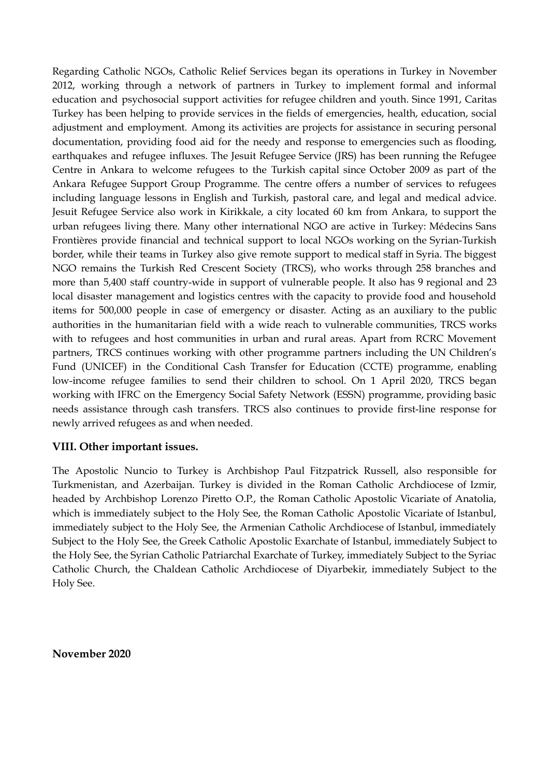Regarding Catholic NGOs, Catholic Relief Services began its operations in Turkey in November 2012, working through a network of partners in Turkey to implement formal and informal education and psychosocial support activities for refugee children and youth. Since 1991, Caritas Turkey has been helping to provide services in the fields of emergencies, health, education, social adjustment and employment. Among its activities are projects for assistance in securing personal documentation, providing food aid for the needy and response to emergencies such as flooding, earthquakes and refugee influxes. The Jesuit Refugee Service (JRS) has been running the Refugee Centre in Ankara to welcome refugees to the Turkish capital since October 2009 as part of the Ankara Refugee Support Group Programme. The centre offers a number of services to refugees including language lessons in English and Turkish, pastoral care, and legal and medical advice. Jesuit Refugee Service also work in Kirikkale, a city located 60 km from Ankara, to support the urban refugees living there. Many other international NGO are active in Turkey: Médecins Sans Frontières provide financial and technical support to local NGOs working on the Syrian-Turkish border, while their teams in Turkey also give remote support to medical staff in Syria. The biggest NGO remains the Turkish Red Crescent Society (TRCS), who works through 258 branches and more than 5,400 staff country-wide in support of vulnerable people. It also has 9 regional and 23 local disaster management and logistics centres with the capacity to provide food and household items for 500,000 people in case of emergency or disaster. Acting as an auxiliary to the public authorities in the humanitarian field with a wide reach to vulnerable communities, TRCS works with to refugees and host communities in urban and rural areas. Apart from RCRC Movement partners, TRCS continues working with other programme partners including the UN Children's Fund (UNICEF) in the Conditional Cash Transfer for Education (CCTE) programme, enabling low-income refugee families to send their children to school. On 1 April 2020, TRCS began working with IFRC on the Emergency Social Safety Network (ESSN) programme, providing basic needs assistance through cash transfers. TRCS also continues to provide first-line response for newly arrived refugees as and when needed.

### **VIII. Other important issues.**

The Apostolic Nuncio to Turkey is Archbishop Paul Fitzpatrick Russell, also responsible for Turkmenistan, and Azerbaijan. Turkey is divided in the Roman Catholic Archdiocese of Izmir, headed by Archbishop Lorenzo Piretto O.P., the Roman Catholic Apostolic Vicariate of Anatolia, which is immediately subject to the Holy See, the Roman Catholic Apostolic Vicariate of Istanbul, immediately subject to the Holy See, the Armenian Catholic Archdiocese of Istanbul, immediately Subject to the Holy See, the Greek Catholic Apostolic Exarchate of Istanbul, immediately Subject to the Holy See, the Syrian Catholic Patriarchal Exarchate of Turkey, immediately Subject to the [Syriac](https://en.wikipedia.org/wiki/Syriac_Catholic_Church) [Catholic](https://en.wikipedia.org/wiki/Syriac_Catholic_Church) Church, the Chaldean Catholic Archdiocese of Diyarbekir, immediately Subject to the [Holy](https://en.wikipedia.org/wiki/Holy_See) See.

**November 2020**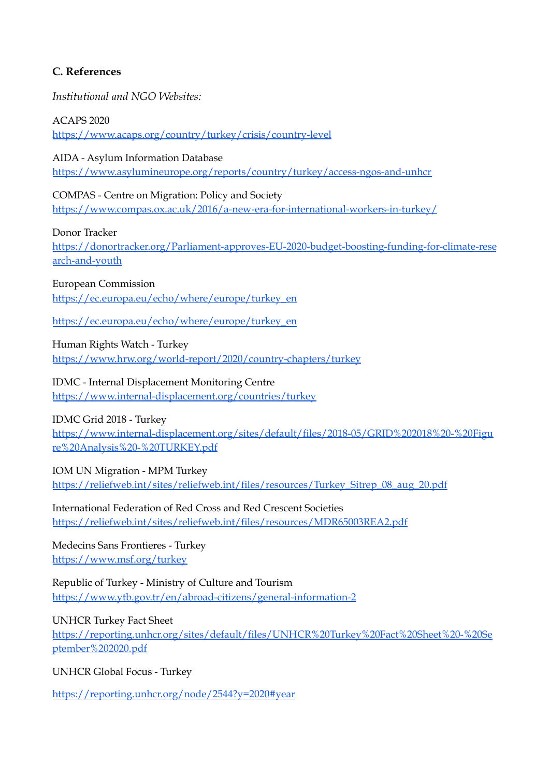# **C. References**

*Institutional and NGO Websites:*

ACAPS 2020 <https://www.acaps.org/country/turkey/crisis/country-level>

AIDA - Asylum Information Database <https://www.asylumineurope.org/reports/country/turkey/access-ngos-and-unhcr>

COMPAS - Centre on Migration: Policy and Society <https://www.compas.ox.ac.uk/2016/a-new-era-for-international-workers-in-turkey/>

Donor Tracker [https://donortracker.org/Parliament-approves-EU-2020-budget-boosting-funding-for-climate-rese](https://donortracker.org/Parliament-approves-EU-2020-budget-boosting-funding-for-climate-research-and-youth) [arch-and-youth](https://donortracker.org/Parliament-approves-EU-2020-budget-boosting-funding-for-climate-research-and-youth)

European Commission [https://ec.europa.eu/echo/where/europe/turkey\\_en](https://ec.europa.eu/echo/where/europe/turkey_en)

[https://ec.europa.eu/echo/where/europe/turkey\\_en](https://ec.europa.eu/echo/where/europe/turkey_en)

Human Rights Watch - Turkey <https://www.hrw.org/world-report/2020/country-chapters/turkey>

IDMC - Internal Displacement Monitoring Centre <https://www.internal-displacement.org/countries/turkey>

IDMC Grid 2018 - Turkey

[https://www.internal-displacement.org/sites/default/files/2018-05/GRID%202018%20-%20Figu](https://www.internal-displacement.org/sites/default/files/2018-05/GRID%202018%20-%20Figure%20Analysis%20-%20TURKEY.pdf) [re%20Analysis%20-%20TURKEY.pdf](https://www.internal-displacement.org/sites/default/files/2018-05/GRID%202018%20-%20Figure%20Analysis%20-%20TURKEY.pdf)

IOM UN Migration - MPM Turkey [https://reliefweb.int/sites/reliefweb.int/files/resources/Turkey\\_Sitrep\\_08\\_aug\\_20.pdf](https://reliefweb.int/sites/reliefweb.int/files/resources/Turkey_Sitrep_08_aug_20.pdf)

International Federation of Red Cross and Red Crescent Societies <https://reliefweb.int/sites/reliefweb.int/files/resources/MDR65003REA2.pdf>

Medecins Sans Frontieres - Turkey <https://www.msf.org/turkey>

Republic of Turkey - Ministry of Culture and Tourism <https://www.ytb.gov.tr/en/abroad-citizens/general-information-2>

UNHCR Turkey Fact Sheet

[https://reporting.unhcr.org/sites/default/files/UNHCR%20Turkey%20Fact%20Sheet%20-%20Se](https://reporting.unhcr.org/sites/default/files/UNHCR%20Turkey%20Fact%20Sheet%20-%20September%202020.pdf) [ptember%202020.pdf](https://reporting.unhcr.org/sites/default/files/UNHCR%20Turkey%20Fact%20Sheet%20-%20September%202020.pdf)

UNHCR Global Focus - Turkey

<https://reporting.unhcr.org/node/2544?y=2020#year>